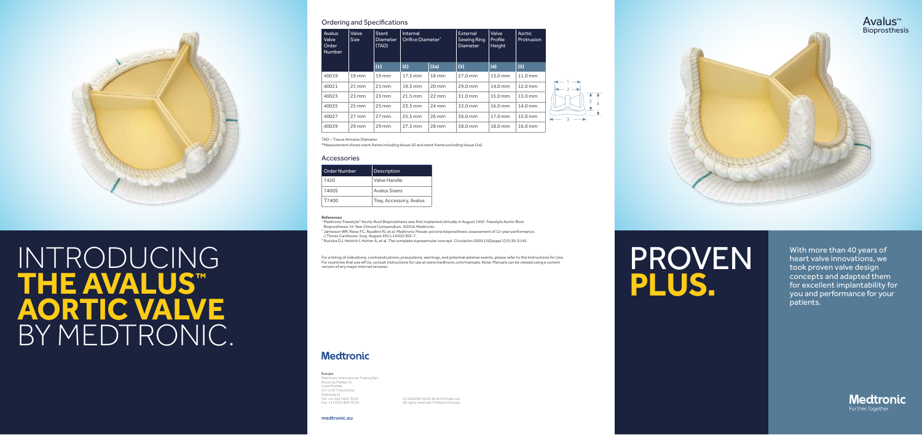

# For a listing of indications, contraindications, precautions, warnings, and potential adverse events, please refer to the Instructions for Us<br>For countries that use eIFUs, consult instructions for use at www.medtronic.com/ **the Avalus™ Aortic Valve** BY MEDTRONIC.

medtronic.eu

UC201608716cEE © 2019 Medtronic. All rights reserved. Printed in Europe.

#### Europe

Medtronic International Trading Sàrl Route du Molliau 31 Case Postale CH-1131 Tolochenaz Switzerland Tel: +41 (0)21 802 70 00 Fax: +41 (0)21 802 79 00

| <b>Avalus</b><br>Valve<br>Order<br><b>Number</b> | Valve<br><b>Size</b> | <b>Stent</b><br><b>Diameter</b><br>(TAD) | <b>Internal</b><br>Orifice Diameter* |                     | External<br><b>Sewing Ring</b><br><b>Diameter</b> | <b>Valve</b><br>Profile<br>Height | Aortic<br>Protrusion |
|--------------------------------------------------|----------------------|------------------------------------------|--------------------------------------|---------------------|---------------------------------------------------|-----------------------------------|----------------------|
|                                                  |                      | (1)                                      | (2)                                  | (2a)                | (3)                                               | (4)                               | (5)                  |
| 40019                                            | $19 \, \mathrm{mm}$  | $19 \, \mathrm{mm}$                      | 17.5 mm                              | $18 \, \mathrm{mm}$ | 27.0 mm                                           | 13.0 mm                           | 11.0 mm              |
| 40021                                            | $21 \, \text{mm}$    | $21 \, \text{mm}$                        | 19.5 mm                              | $20 \, \text{mm}$   | 29.0 mm                                           | 14.0 mm                           | 12.0 mm              |
| 40023                                            | $23 \, \text{mm}$    | $23 \, \text{mm}$                        | $21.5 \text{ mm}$                    | $22 \, \text{mm}$   | 31.0 mm                                           | 15.0 mm                           | 13.0 mm              |
| 40025                                            | $25 \, \text{mm}$    | $25 \, \text{mm}$                        | 23.5 mm                              | $24 \, \text{mm}$   | 33.0 mm                                           | 16.0 mm                           | 14.0 mm              |
| 40027                                            | $27 \, \text{mm}$    | $27 \, \text{mm}$                        | 25.5 mm                              | 26 mm               | 36.0 mm                                           | 17.0 mm                           | 15.0 mm              |
| 40029                                            | $29 \,\mathrm{mm}$   | $29$ mm                                  | 27.5 mm                              | 28 mm               | 38.0 mm                                           | 18.0 mm                           | 16.0 mm              |

| Order Number | Description             |
|--------------|-------------------------|
| 7420         | Valve Handle            |
| 7400S        | Avalus Sizers           |
| T7400        | Tray, Accessory, Avalus |

TAD – Tissue Annulus Diameter

\*Measurement shows stent frame including tissue (2) and stent frame excluding tissue (2a).

### Ordering and Specifications

#### Accessories

#### **References**

<sup>1</sup> Medtronic Freestyle® Aortic Root Bioprosthesis was first implanted clinically in August 1992. Freestyle Aortic Root Bioprosthesis 15-Year Clinical Compendium. ©2016 Medtronic.

<sup>2</sup> Jamieson WR, Riess FC, Raudkivi PJ, et al. Medtronic Mosaic porcine bioprosthesis: assessment of 12-year performance. *J Thorac Cardiovasc Surg.* August 2011;142(2):302-7.

<sup>3</sup> Ruzicka DJ, Hettich I, Hutter A, et al. The complete supraannular concept. *Circulation* 2009;120[suppl 1]:S139-S145.

For a listing of indications, contraindications, precautions, warnings, and potential adverse events, please refer to the Instructions for Use.<br>For countries that use elFUs, consult instructions for use at www.medtronic.co

# **Medtronic**

PROVEN **PLUS.**

With more than 40 years of heart valve innovations, we took proven valve design concepts and adapted them for excellent implantability for you and performance for your patients.

**Medtronic** 

Further, Together